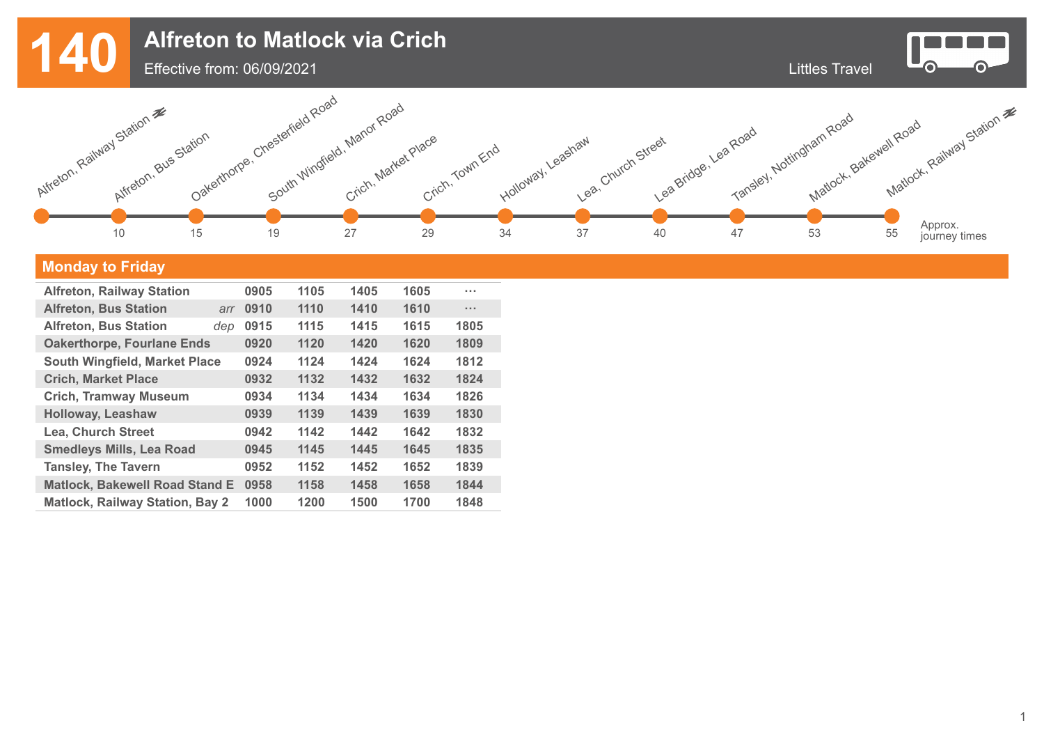Littles Travel **Alfreton to Matlock via Crich**



 $\bullet$ 

**O** 



## **Monday to Friday**

| <b>Alfreton, Railway Station</b>       |     | 0905 | 1105 | 1405 | 1605 | $\sim$ 100 $\pm$     |
|----------------------------------------|-----|------|------|------|------|----------------------|
| <b>Alfreton, Bus Station</b>           | arr | 0910 | 1110 | 1410 | 1610 | $\sim$ $\sim$ $\sim$ |
| <b>Alfreton, Bus Station</b>           | dep | 0915 | 1115 | 1415 | 1615 | 1805                 |
| <b>Oakerthorpe, Fourlane Ends</b>      |     | 0920 | 1120 | 1420 | 1620 | 1809                 |
| <b>South Wingfield, Market Place</b>   |     | 0924 | 1124 | 1424 | 1624 | 1812                 |
| <b>Crich, Market Place</b>             |     | 0932 | 1132 | 1432 | 1632 | 1824                 |
| <b>Crich, Tramway Museum</b>           |     | 0934 | 1134 | 1434 | 1634 | 1826                 |
| <b>Holloway, Leashaw</b>               |     | 0939 | 1139 | 1439 | 1639 | 1830                 |
| <b>Lea, Church Street</b>              |     | 0942 | 1142 | 1442 | 1642 | 1832                 |
| <b>Smedleys Mills, Lea Road</b>        |     | 0945 | 1145 | 1445 | 1645 | 1835                 |
| <b>Tansley, The Tavern</b>             |     | 0952 | 1152 | 1452 | 1652 | 1839                 |
| <b>Matlock, Bakewell Road Stand E</b>  |     | 0958 | 1158 | 1458 | 1658 | 1844                 |
| <b>Matlock, Railway Station, Bay 2</b> |     | 1000 | 1200 | 1500 | 1700 | 1848                 |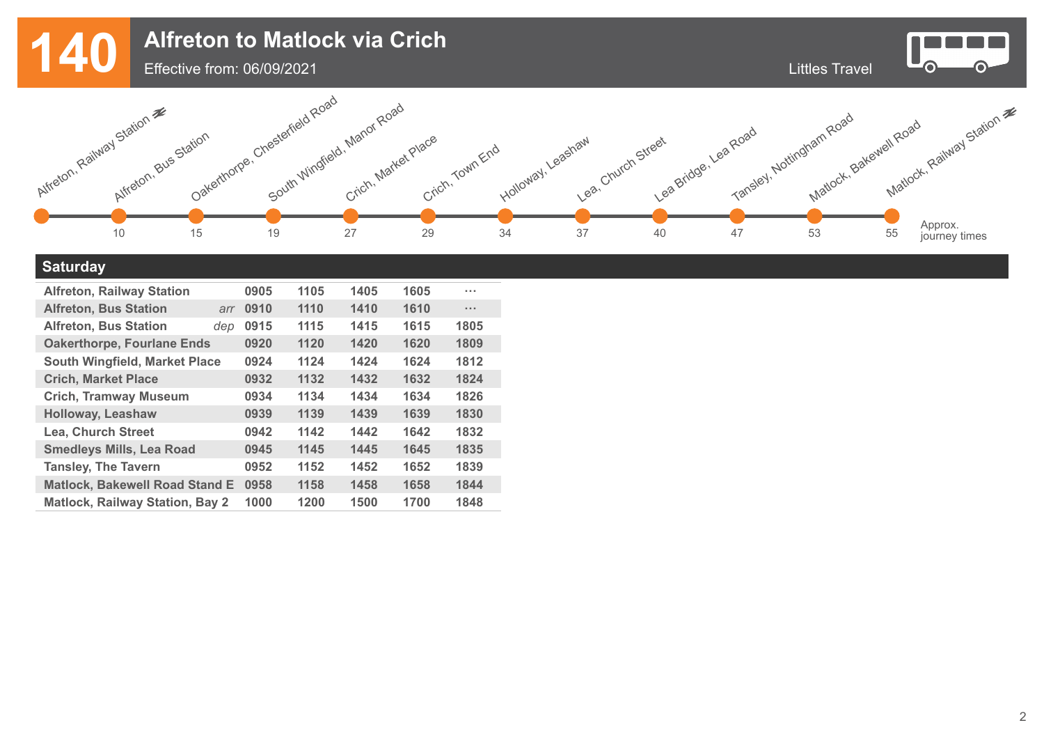Littles Travel **Alfreton to Matlock via Crich**



 $\bullet$ 

 $\bullet$ 



## **Saturday**

| <b>Alfreton, Railway Station</b>       |     | 0905 | 1105 | 1405 | 1605 | <b>A 10 A</b> |
|----------------------------------------|-----|------|------|------|------|---------------|
| <b>Alfreton, Bus Station</b>           | arr | 0910 | 1110 | 1410 | 1610 | $\sim 100$    |
| <b>Alfreton, Bus Station</b>           | dep | 0915 | 1115 | 1415 | 1615 | 1805          |
| <b>Oakerthorpe, Fourlane Ends</b>      |     | 0920 | 1120 | 1420 | 1620 | 1809          |
| <b>South Wingfield, Market Place</b>   |     | 0924 | 1124 | 1424 | 1624 | 1812          |
| <b>Crich, Market Place</b>             |     | 0932 | 1132 | 1432 | 1632 | 1824          |
| <b>Crich, Tramway Museum</b>           |     | 0934 | 1134 | 1434 | 1634 | 1826          |
| <b>Holloway, Leashaw</b>               |     | 0939 | 1139 | 1439 | 1639 | 1830          |
| <b>Lea, Church Street</b>              |     | 0942 | 1142 | 1442 | 1642 | 1832          |
| <b>Smedleys Mills, Lea Road</b>        |     | 0945 | 1145 | 1445 | 1645 | 1835          |
| <b>Tansley, The Tavern</b>             |     | 0952 | 1152 | 1452 | 1652 | 1839          |
| <b>Matlock, Bakewell Road Stand E</b>  |     | 0958 | 1158 | 1458 | 1658 | 1844          |
| <b>Matlock, Railway Station, Bay 2</b> |     | 1000 | 1200 | 1500 | 1700 | 1848          |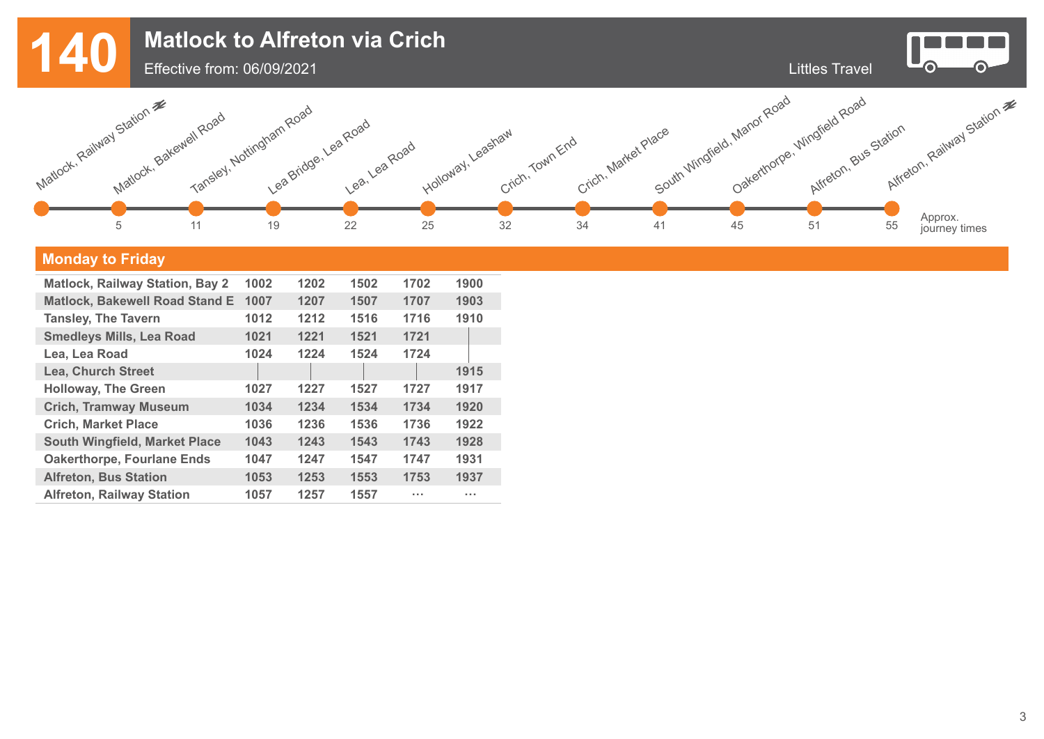

## **Monday to Friday**

| <b>Matlock, Railway Station, Bay 2</b> | 1002 | 1202 | 1502 | 1702 | 1900 |
|----------------------------------------|------|------|------|------|------|
| <b>Matlock, Bakewell Road Stand E</b>  | 1007 | 1207 | 1507 | 1707 | 1903 |
| <b>Tansley, The Tavern</b>             | 1012 | 1212 | 1516 | 1716 | 1910 |
| <b>Smedleys Mills, Lea Road</b>        | 1021 | 1221 | 1521 | 1721 |      |
| Lea, Lea Road                          | 1024 | 1224 | 1524 | 1724 |      |
| <b>Lea, Church Street</b>              |      |      |      |      | 1915 |
| <b>Holloway, The Green</b>             | 1027 | 1227 | 1527 | 1727 | 1917 |
| <b>Crich, Tramway Museum</b>           | 1034 | 1234 | 1534 | 1734 | 1920 |
| <b>Crich, Market Place</b>             | 1036 | 1236 | 1536 | 1736 | 1922 |
| <b>South Wingfield, Market Place</b>   | 1043 | 1243 | 1543 | 1743 | 1928 |
| <b>Oakerthorpe, Fourlane Ends</b>      | 1047 | 1247 | 1547 | 1747 | 1931 |
| <b>Alfreton, Bus Station</b>           | 1053 | 1253 | 1553 | 1753 | 1937 |
| <b>Alfreton, Railway Station</b>       | 1057 | 1257 | 1557 | .    | .    |